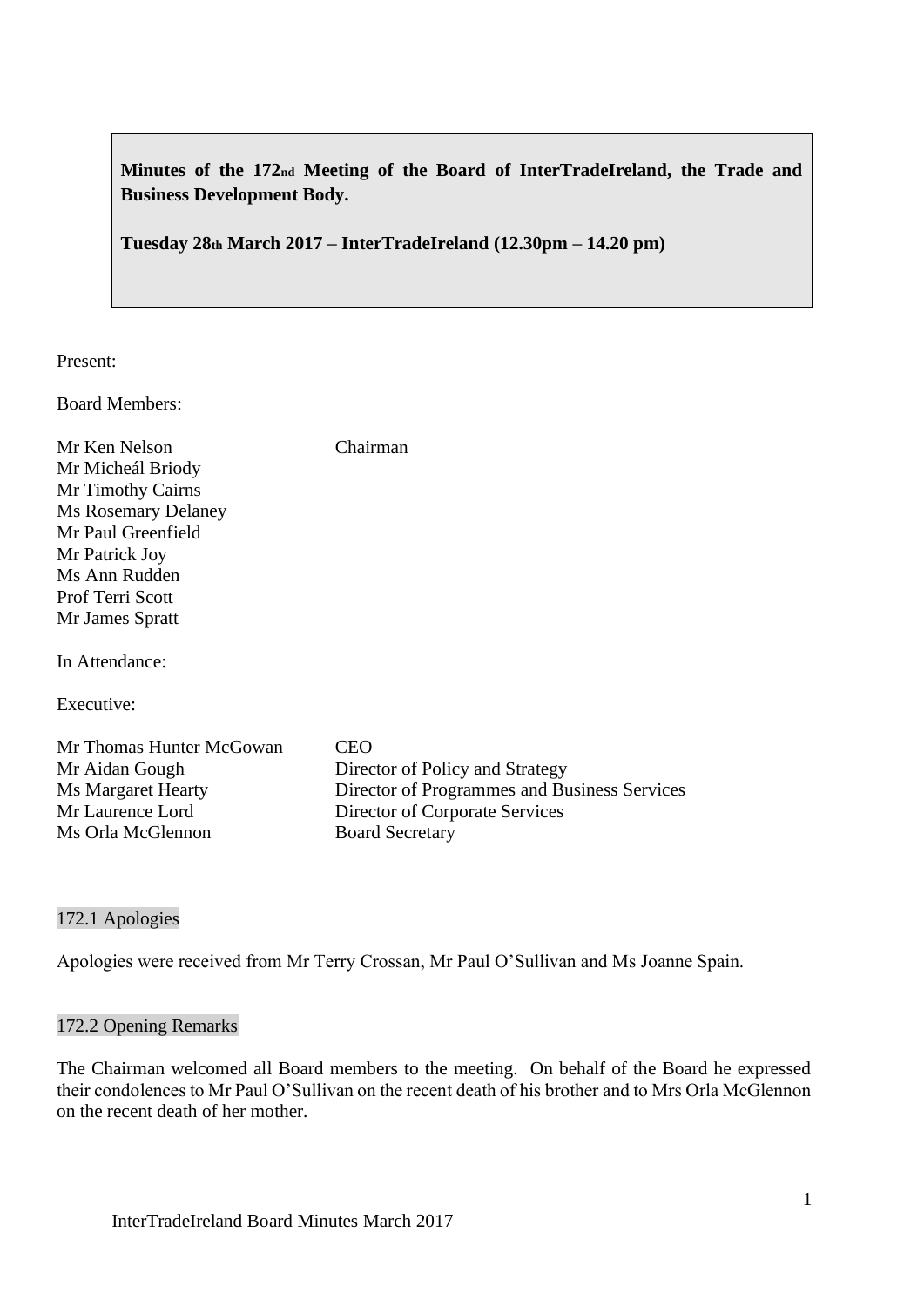**Minutes of the 172nd Meeting of the Board of InterTradeIreland, the Trade and Business Development Body.**

**Tuesday 28th March 2017 – InterTradeIreland (12.30pm – 14.20 pm)**

Present:

Board Members:

Mr Ken Nelson Chairman Mr Micheál Briody Mr Timothy Cairns Ms Rosemary Delaney Mr Paul Greenfield Mr Patrick Joy Ms Ann Rudden Prof Terri Scott Mr James Spratt

In Attendance:

Executive:

Mr Thomas Hunter McGowan CEO Mr Aidan Gough Director of Policy and Strategy Ms Margaret Hearty Director of Programmes and Business Services Mr Laurence Lord Director of Corporate Services Ms Orla McGlennon Board Secretary

#### 172.1 Apologies

Apologies were received from Mr Terry Crossan, Mr Paul O'Sullivan and Ms Joanne Spain.

#### 172.2 Opening Remarks

The Chairman welcomed all Board members to the meeting. On behalf of the Board he expressed their condolences to Mr Paul O'Sullivan on the recent death of his brother and to Mrs Orla McGlennon on the recent death of her mother.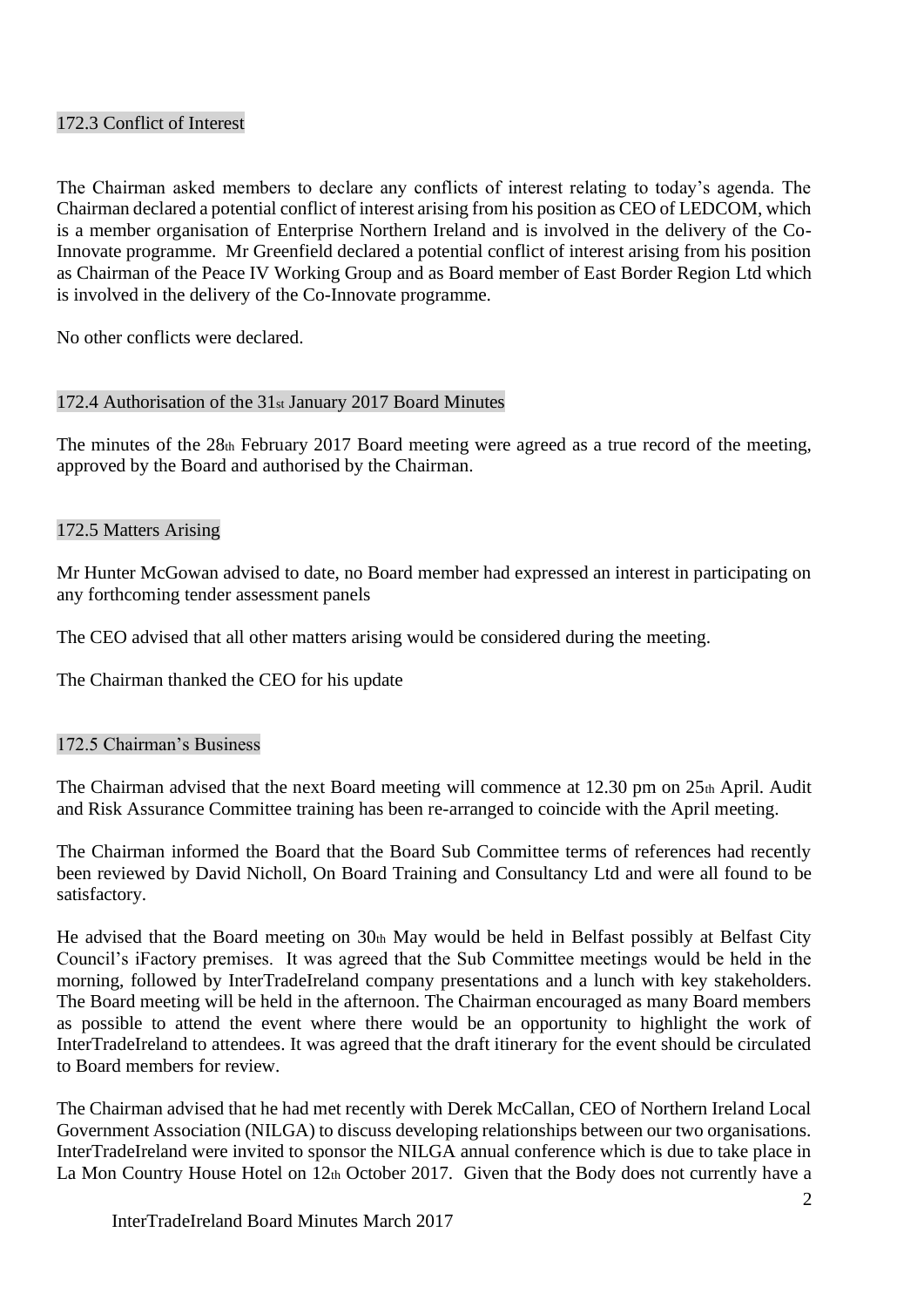### 172.3 Conflict of Interest

The Chairman asked members to declare any conflicts of interest relating to today's agenda. The Chairman declared a potential conflict of interest arising from his position as CEO of LEDCOM, which is a member organisation of Enterprise Northern Ireland and is involved in the delivery of the Co-Innovate programme. Mr Greenfield declared a potential conflict of interest arising from his position as Chairman of the Peace IV Working Group and as Board member of East Border Region Ltd which is involved in the delivery of the Co-Innovate programme.

No other conflicts were declared.

### 172.4 Authorisation of the 31st January 2017 Board Minutes

The minutes of the 28th February 2017 Board meeting were agreed as a true record of the meeting, approved by the Board and authorised by the Chairman.

#### 172.5 Matters Arising

Mr Hunter McGowan advised to date, no Board member had expressed an interest in participating on any forthcoming tender assessment panels

The CEO advised that all other matters arising would be considered during the meeting.

The Chairman thanked the CEO for his update

#### 172.5 Chairman's Business

The Chairman advised that the next Board meeting will commence at 12.30 pm on 25th April. Audit and Risk Assurance Committee training has been re-arranged to coincide with the April meeting.

The Chairman informed the Board that the Board Sub Committee terms of references had recently been reviewed by David Nicholl, On Board Training and Consultancy Ltd and were all found to be satisfactory.

He advised that the Board meeting on 30th May would be held in Belfast possibly at Belfast City Council's iFactory premises. It was agreed that the Sub Committee meetings would be held in the morning, followed by InterTradeIreland company presentations and a lunch with key stakeholders. The Board meeting will be held in the afternoon. The Chairman encouraged as many Board members as possible to attend the event where there would be an opportunity to highlight the work of InterTradeIreland to attendees. It was agreed that the draft itinerary for the event should be circulated to Board members for review.

The Chairman advised that he had met recently with Derek McCallan, CEO of Northern Ireland Local Government Association (NILGA) to discuss developing relationships between our two organisations. InterTradeIreland were invited to sponsor the NILGA annual conference which is due to take place in La Mon Country House Hotel on 12th October 2017. Given that the Body does not currently have a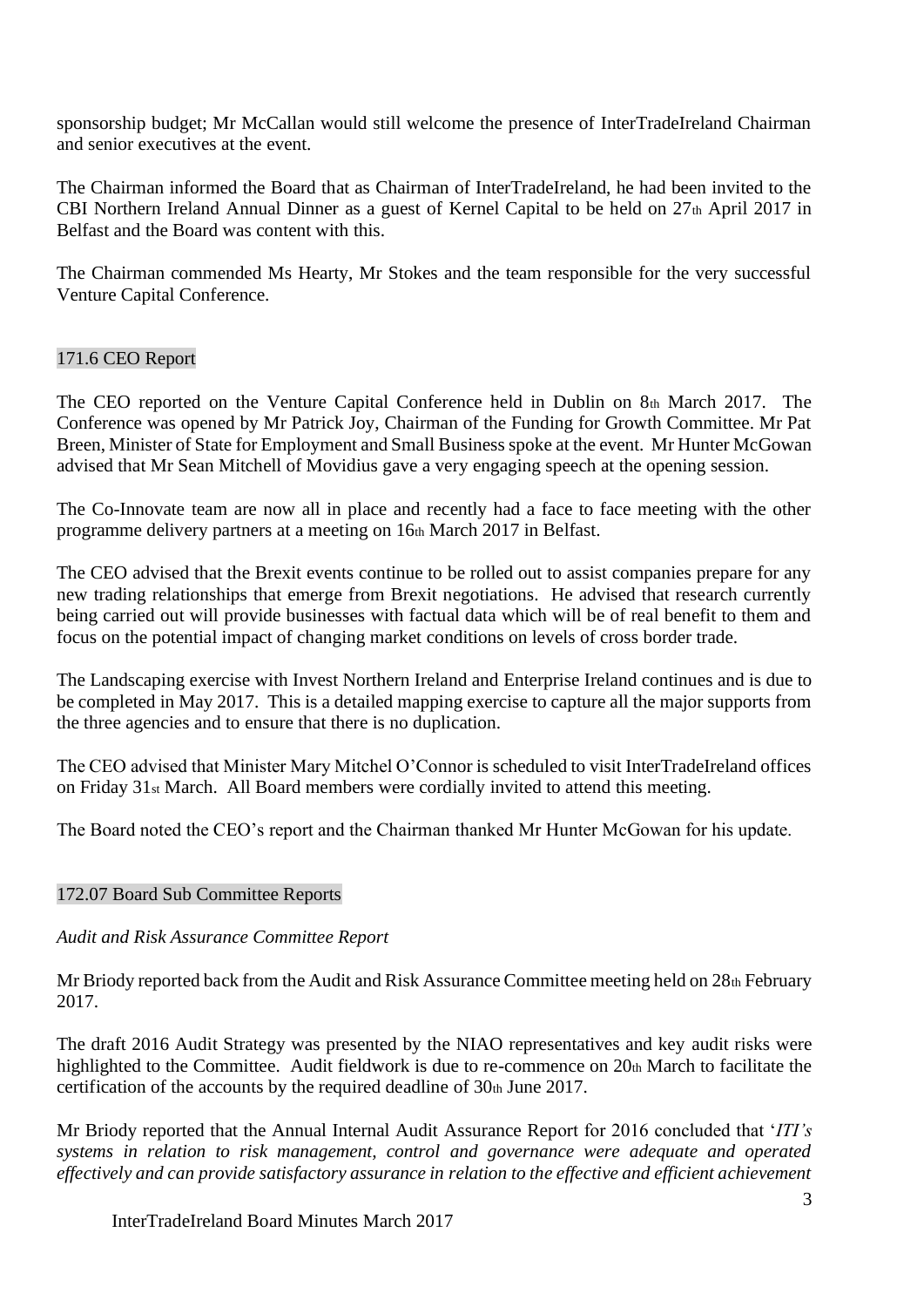sponsorship budget; Mr McCallan would still welcome the presence of InterTradeIreland Chairman and senior executives at the event.

The Chairman informed the Board that as Chairman of InterTradeIreland, he had been invited to the CBI Northern Ireland Annual Dinner as a guest of Kernel Capital to be held on 27th April 2017 in Belfast and the Board was content with this.

The Chairman commended Ms Hearty, Mr Stokes and the team responsible for the very successful Venture Capital Conference.

### 171.6 CEO Report

The CEO reported on the Venture Capital Conference held in Dublin on 8th March 2017. The Conference was opened by Mr Patrick Joy, Chairman of the Funding for Growth Committee. Mr Pat Breen, Minister of State for Employment and Small Business spoke at the event. Mr Hunter McGowan advised that Mr Sean Mitchell of Movidius gave a very engaging speech at the opening session.

The Co-Innovate team are now all in place and recently had a face to face meeting with the other programme delivery partners at a meeting on 16th March 2017 in Belfast.

The CEO advised that the Brexit events continue to be rolled out to assist companies prepare for any new trading relationships that emerge from Brexit negotiations. He advised that research currently being carried out will provide businesses with factual data which will be of real benefit to them and focus on the potential impact of changing market conditions on levels of cross border trade.

The Landscaping exercise with Invest Northern Ireland and Enterprise Ireland continues and is due to be completed in May 2017. This is a detailed mapping exercise to capture all the major supports from the three agencies and to ensure that there is no duplication.

The CEO advised that Minister Mary Mitchel O'Connor is scheduled to visit InterTradeIreland offices on Friday 31st March. All Board members were cordially invited to attend this meeting.

The Board noted the CEO's report and the Chairman thanked Mr Hunter McGowan for his update.

#### 172.07 Board Sub Committee Reports

#### *Audit and Risk Assurance Committee Report*

Mr Briody reported back from the Audit and Risk Assurance Committee meeting held on 28th February 2017.

The draft 2016 Audit Strategy was presented by the NIAO representatives and key audit risks were highlighted to the Committee. Audit fieldwork is due to re-commence on  $20<sub>th</sub>$  March to facilitate the certification of the accounts by the required deadline of  $30<sub>th</sub>$  June 2017.

Mr Briody reported that the Annual Internal Audit Assurance Report for 2016 concluded that '*ITI's systems in relation to risk management, control and governance were adequate and operated effectively and can provide satisfactory assurance in relation to the effective and efficient achievement*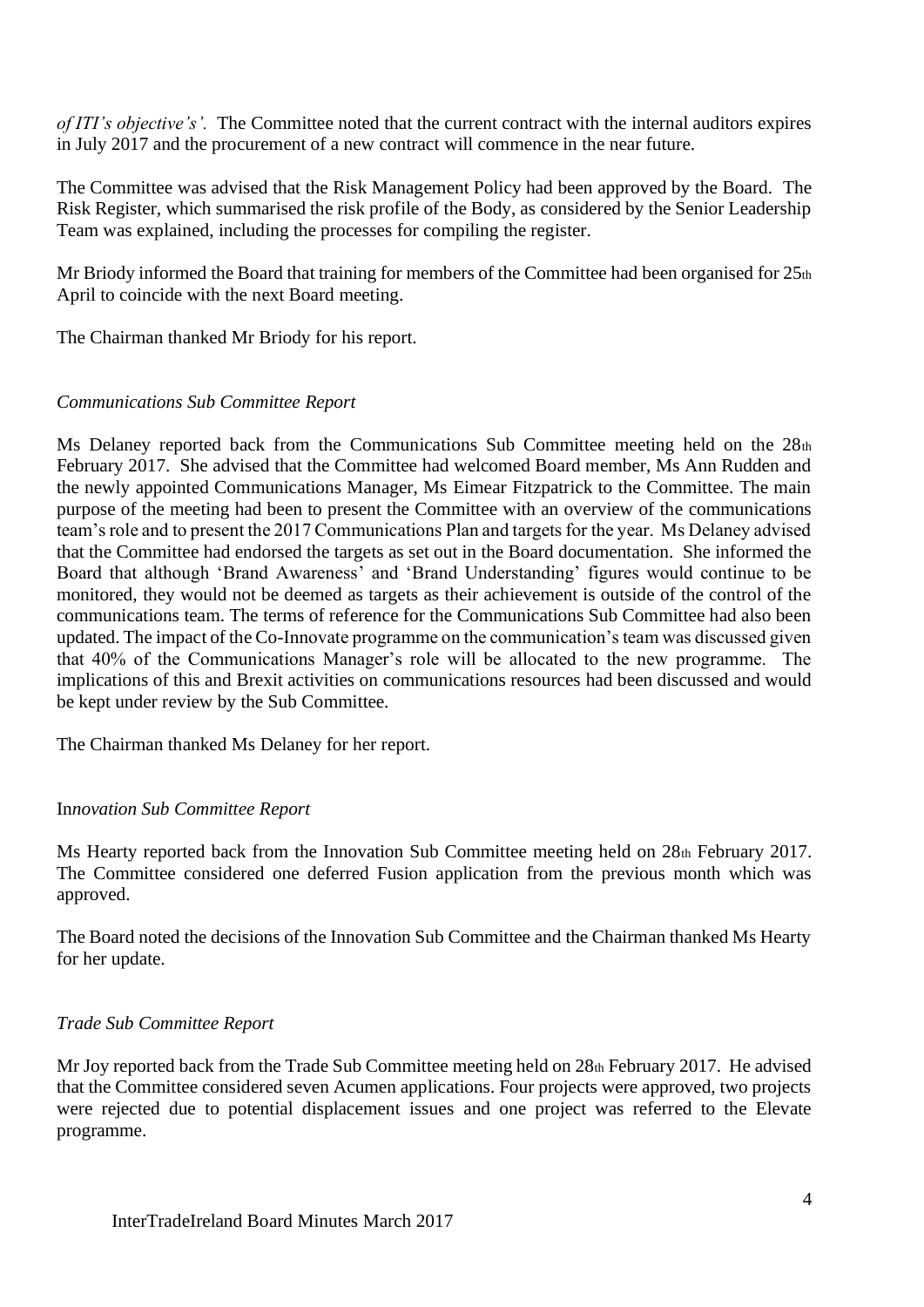*of ITI's objective's'.* The Committee noted that the current contract with the internal auditors expires in July 2017 and the procurement of a new contract will commence in the near future.

The Committee was advised that the Risk Management Policy had been approved by the Board. The Risk Register, which summarised the risk profile of the Body, as considered by the Senior Leadership Team was explained, including the processes for compiling the register.

Mr Briody informed the Board that training for members of the Committee had been organised for 25th April to coincide with the next Board meeting.

The Chairman thanked Mr Briody for his report.

### *Communications Sub Committee Report*

Ms Delaney reported back from the Communications Sub Committee meeting held on the  $28<sub>th</sub>$ February 2017. She advised that the Committee had welcomed Board member, Ms Ann Rudden and the newly appointed Communications Manager, Ms Eimear Fitzpatrick to the Committee. The main purpose of the meeting had been to present the Committee with an overview of the communications team's role and to present the 2017 Communications Plan and targets for the year. Ms Delaney advised that the Committee had endorsed the targets as set out in the Board documentation. She informed the Board that although 'Brand Awareness' and 'Brand Understanding' figures would continue to be monitored, they would not be deemed as targets as their achievement is outside of the control of the communications team. The terms of reference for the Communications Sub Committee had also been updated. The impact of the Co-Innovate programme on the communication's team was discussed given that 40% of the Communications Manager's role will be allocated to the new programme. The implications of this and Brexit activities on communications resources had been discussed and would be kept under review by the Sub Committee.

The Chairman thanked Ms Delaney for her report.

## In*novation Sub Committee Report*

Ms Hearty reported back from the Innovation Sub Committee meeting held on 28th February 2017. The Committee considered one deferred Fusion application from the previous month which was approved.

The Board noted the decisions of the Innovation Sub Committee and the Chairman thanked Ms Hearty for her update.

## *Trade Sub Committee Report*

Mr Joy reported back from the Trade Sub Committee meeting held on 28th February 2017. He advised that the Committee considered seven Acumen applications. Four projects were approved, two projects were rejected due to potential displacement issues and one project was referred to the Elevate programme.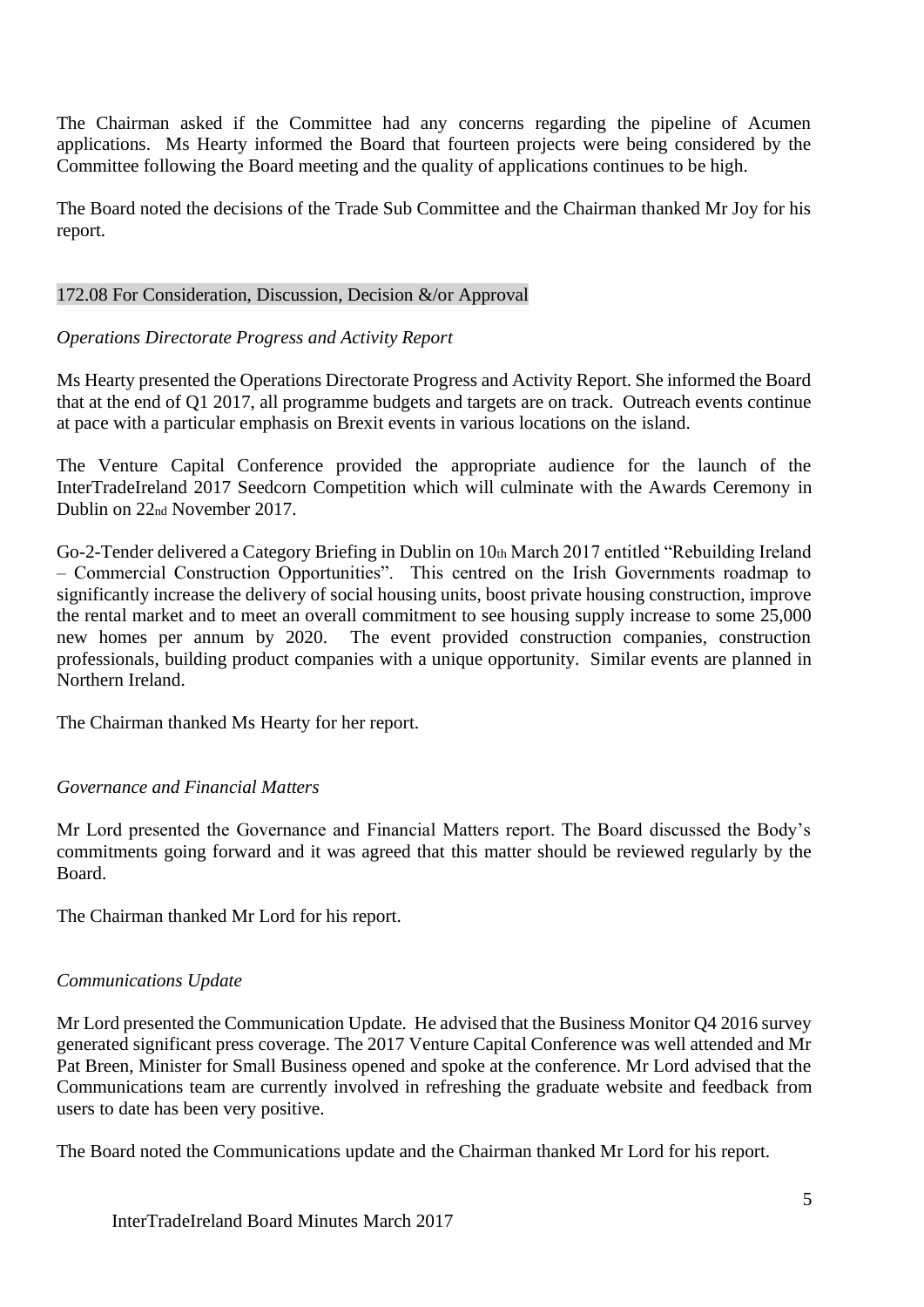The Chairman asked if the Committee had any concerns regarding the pipeline of Acumen applications. Ms Hearty informed the Board that fourteen projects were being considered by the Committee following the Board meeting and the quality of applications continues to be high.

The Board noted the decisions of the Trade Sub Committee and the Chairman thanked Mr Joy for his report.

### 172.08 For Consideration, Discussion, Decision &/or Approval

## *Operations Directorate Progress and Activity Report*

Ms Hearty presented the Operations Directorate Progress and Activity Report. She informed the Board that at the end of Q1 2017, all programme budgets and targets are on track. Outreach events continue at pace with a particular emphasis on Brexit events in various locations on the island.

The Venture Capital Conference provided the appropriate audience for the launch of the InterTradeIreland 2017 Seedcorn Competition which will culminate with the Awards Ceremony in Dublin on 22nd November 2017.

Go-2-Tender delivered a Category Briefing in Dublin on 10th March 2017 entitled "Rebuilding Ireland – Commercial Construction Opportunities". This centred on the Irish Governments roadmap to significantly increase the delivery of social housing units, boost private housing construction, improve the rental market and to meet an overall commitment to see housing supply increase to some 25,000 new homes per annum by 2020. The event provided construction companies, construction professionals, building product companies with a unique opportunity. Similar events are planned in Northern Ireland.

The Chairman thanked Ms Hearty for her report.

## *Governance and Financial Matters*

Mr Lord presented the Governance and Financial Matters report. The Board discussed the Body's commitments going forward and it was agreed that this matter should be reviewed regularly by the Board.

The Chairman thanked Mr Lord for his report.

## *Communications Update*

Mr Lord presented the Communication Update. He advised that the Business Monitor Q4 2016 survey generated significant press coverage. The 2017 Venture Capital Conference was well attended and Mr Pat Breen, Minister for Small Business opened and spoke at the conference. Mr Lord advised that the Communications team are currently involved in refreshing the graduate website and feedback from users to date has been very positive.

The Board noted the Communications update and the Chairman thanked Mr Lord for his report.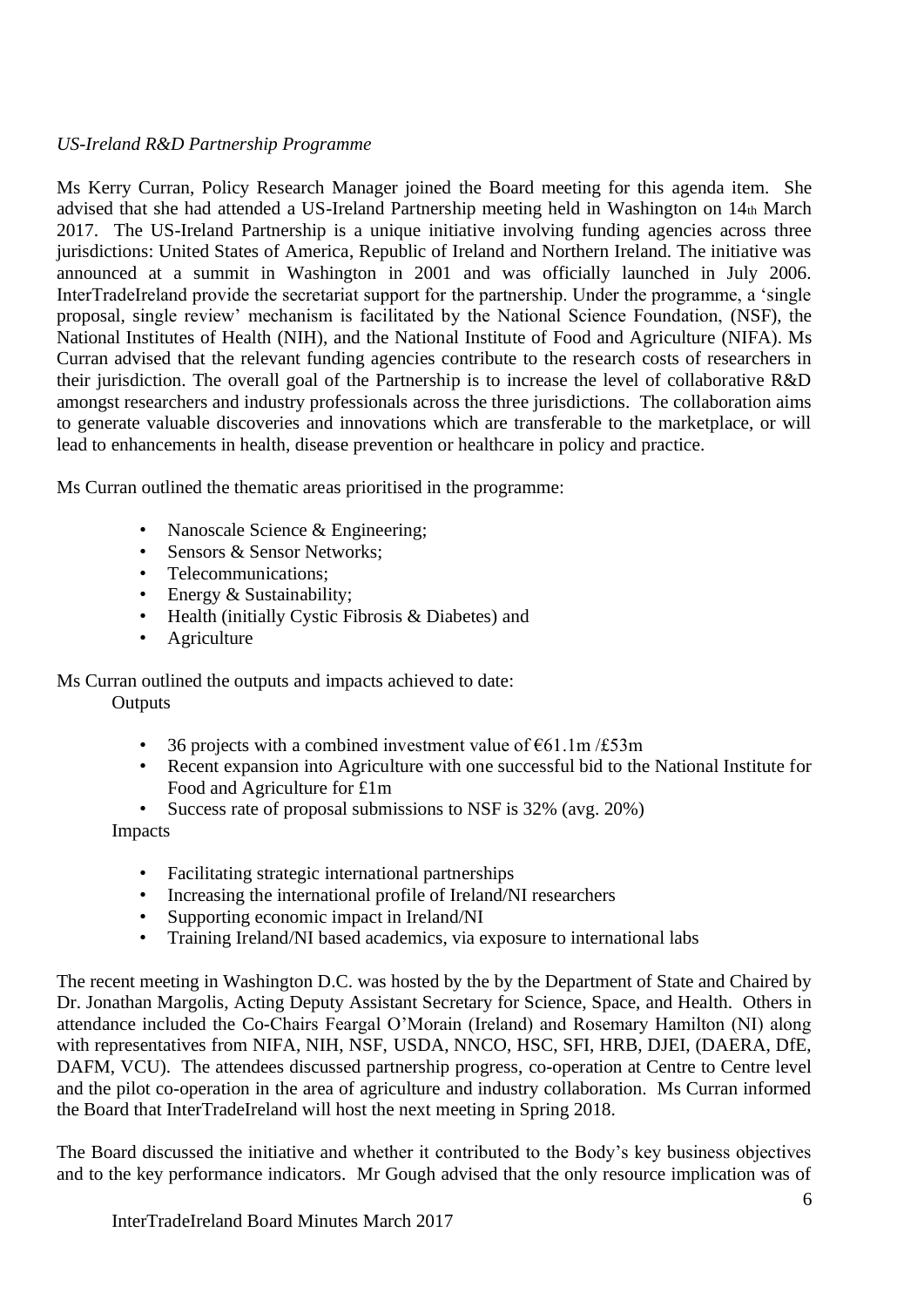## *US-Ireland R&D Partnership Programme*

Ms Kerry Curran, Policy Research Manager joined the Board meeting for this agenda item. She advised that she had attended a US-Ireland Partnership meeting held in Washington on 14th March 2017. The US-Ireland Partnership is a unique initiative involving funding agencies across three jurisdictions: United States of America, Republic of Ireland and Northern Ireland. The initiative was announced at a summit in Washington in 2001 and was officially launched in July 2006. InterTradeIreland provide the secretariat support for the partnership. Under the programme, a 'single proposal, single review' mechanism is facilitated by the National Science Foundation, (NSF), the National Institutes of Health (NIH), and the National Institute of Food and Agriculture (NIFA). Ms Curran advised that the relevant funding agencies contribute to the research costs of researchers in their jurisdiction. The overall goal of the Partnership is to increase the level of collaborative R&D amongst researchers and industry professionals across the three jurisdictions. The collaboration aims to generate valuable discoveries and innovations which are transferable to the marketplace, or will lead to enhancements in health, disease prevention or healthcare in policy and practice.

Ms Curran outlined the thematic areas prioritised in the programme:

- Nanoscale Science & Engineering;
- Sensors & Sensor Networks:
- Telecommunications:
- Energy & Sustainability;
- Health (initially Cystic Fibrosis & Diabetes) and
- Agriculture

Ms Curran outlined the outputs and impacts achieved to date: **Outputs** 

- 36 projects with a combined investment value of  $\epsilon$ 61.1m/£53m
- Recent expansion into Agriculture with one successful bid to the National Institute for Food and Agriculture for £1m
- Success rate of proposal submissions to NSF is 32% (avg. 20%) Impacts
	- Facilitating strategic international partnerships
	- Increasing the international profile of Ireland/NI researchers
	- Supporting economic impact in Ireland/NI
	- Training Ireland/NI based academics, via exposure to international labs

The recent meeting in Washington D.C. was hosted by the by the Department of State and Chaired by Dr. Jonathan Margolis, Acting Deputy Assistant Secretary for Science, Space, and Health. Others in attendance included the Co-Chairs Feargal O'Morain (Ireland) and Rosemary Hamilton (NI) along with representatives from NIFA, NIH, NSF, USDA, NNCO, HSC, SFI, HRB, DJEI, (DAERA, DfE, DAFM, VCU). The attendees discussed partnership progress, co-operation at Centre to Centre level and the pilot co-operation in the area of agriculture and industry collaboration. Ms Curran informed the Board that InterTradeIreland will host the next meeting in Spring 2018.

The Board discussed the initiative and whether it contributed to the Body's key business objectives and to the key performance indicators. Mr Gough advised that the only resource implication was of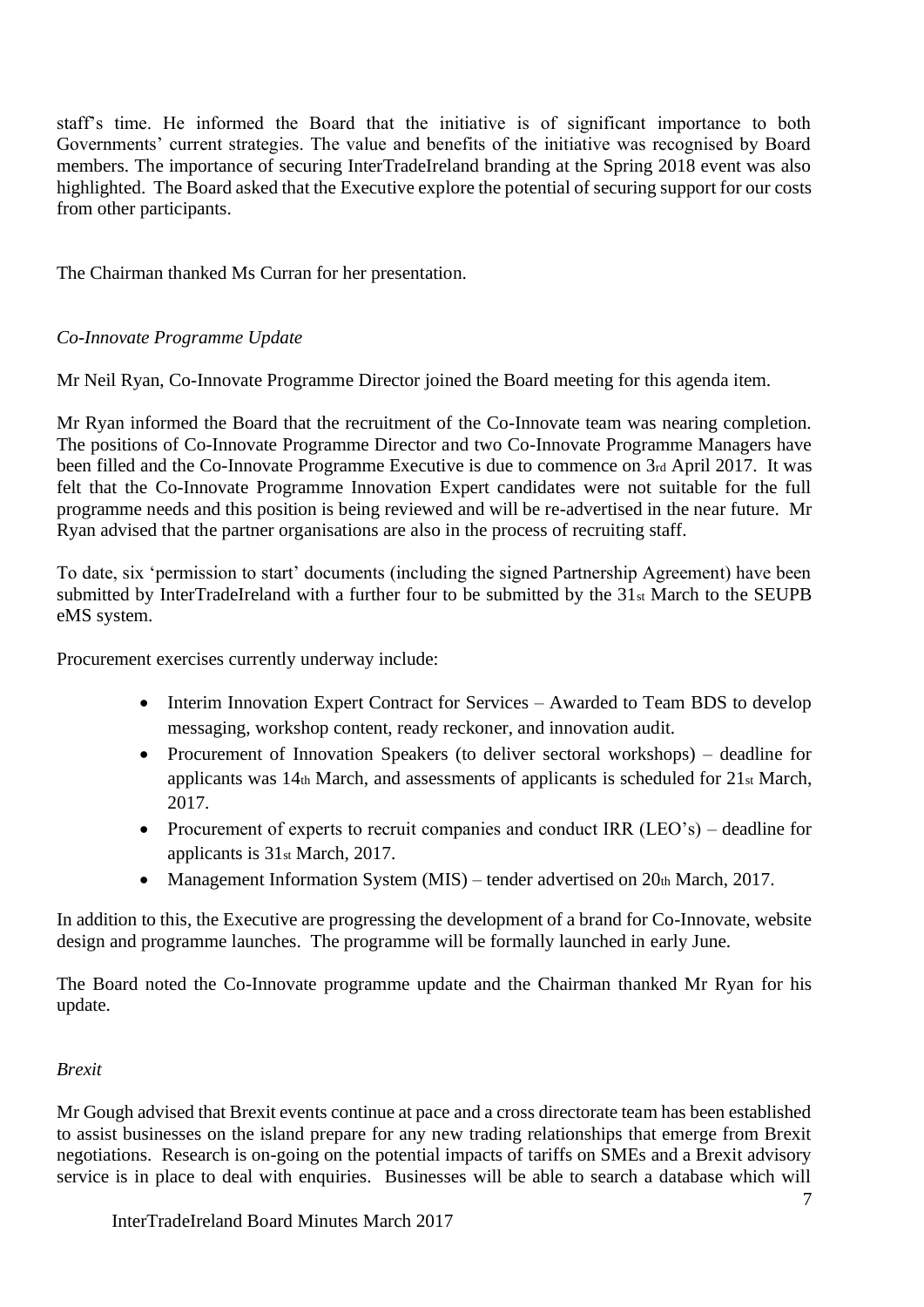staff's time. He informed the Board that the initiative is of significant importance to both Governments' current strategies. The value and benefits of the initiative was recognised by Board members. The importance of securing InterTradeIreland branding at the Spring 2018 event was also highlighted. The Board asked that the Executive explore the potential of securing support for our costs from other participants.

The Chairman thanked Ms Curran for her presentation.

# *Co-Innovate Programme Update*

Mr Neil Ryan, Co-Innovate Programme Director joined the Board meeting for this agenda item.

Mr Ryan informed the Board that the recruitment of the Co-Innovate team was nearing completion. The positions of Co-Innovate Programme Director and two Co-Innovate Programme Managers have been filled and the Co-Innovate Programme Executive is due to commence on 3rd April 2017. It was felt that the Co-Innovate Programme Innovation Expert candidates were not suitable for the full programme needs and this position is being reviewed and will be re-advertised in the near future. Mr Ryan advised that the partner organisations are also in the process of recruiting staff.

To date, six 'permission to start' documents (including the signed Partnership Agreement) have been submitted by InterTradeIreland with a further four to be submitted by the 31st March to the SEUPB eMS system.

Procurement exercises currently underway include:

- Interim Innovation Expert Contract for Services Awarded to Team BDS to develop messaging, workshop content, ready reckoner, and innovation audit.
- Procurement of Innovation Speakers (to deliver sectoral workshops) deadline for applicants was 14th March, and assessments of applicants is scheduled for 21st March, 2017.
- Procurement of experts to recruit companies and conduct IRR (LEO's) deadline for applicants is 31st March, 2017.
- Management Information System (MIS) tender advertised on  $20<sub>th</sub>$  March, 2017.

In addition to this, the Executive are progressing the development of a brand for Co-Innovate, website design and programme launches. The programme will be formally launched in early June.

The Board noted the Co-Innovate programme update and the Chairman thanked Mr Ryan for his update.

## *Brexit*

Mr Gough advised that Brexit events continue at pace and a cross directorate team has been established to assist businesses on the island prepare for any new trading relationships that emerge from Brexit negotiations. Research is on-going on the potential impacts of tariffs on SMEs and a Brexit advisory service is in place to deal with enquiries. Businesses will be able to search a database which will